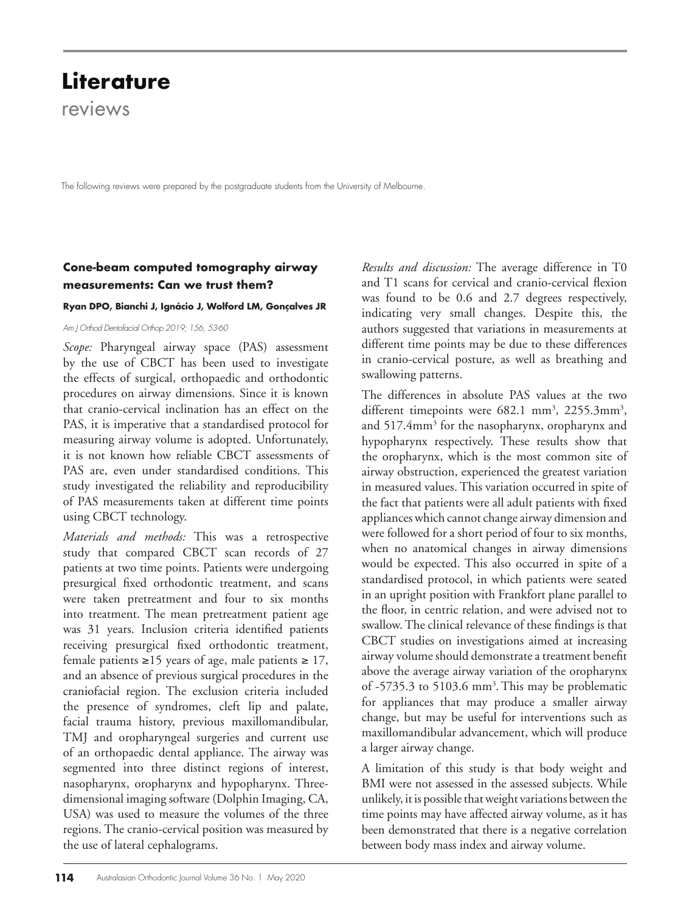# **Literature**

reviews

The following reviews were prepared by the postgraduate students from the University of Melbourne.

# **Cone-beam computed tomography airway measurements: Can we trust them?**

### **Ryan DPO, Bianchi J, Ignácio J, Wolford LM, Gonçalves JR**

*Am J Orthod Dentofacial Orthop 2019; 156, 53-60* 

*Scope:* Pharyngeal airway space (PAS) assessment by the use of CBCT has been used to investigate the effects of surgical, orthopaedic and orthodontic procedures on airway dimensions. Since it is known that cranio-cervical inclination has an effect on the PAS, it is imperative that a standardised protocol for measuring airway volume is adopted. Unfortunately, it is not known how reliable CBCT assessments of PAS are, even under standardised conditions. This study investigated the reliability and reproducibility of PAS measurements taken at different time points using CBCT technology.

*Materials and methods:* This was a retrospective study that compared CBCT scan records of 27 patients at two time points. Patients were undergoing presurgical fixed orthodontic treatment, and scans were taken pretreatment and four to six months into treatment. The mean pretreatment patient age was 31 years. Inclusion criteria identified patients receiving presurgical fixed orthodontic treatment, female patients ≥15 years of age, male patients ≥ 17, and an absence of previous surgical procedures in the craniofacial region. The exclusion criteria included the presence of syndromes, cleft lip and palate, facial trauma history, previous maxillomandibular, TMJ and oropharyngeal surgeries and current use of an orthopaedic dental appliance. The airway was segmented into three distinct regions of interest, nasopharynx, oropharynx and hypopharynx. Threedimensional imaging software (Dolphin Imaging, CA, USA) was used to measure the volumes of the three regions. The cranio-cervical position was measured by the use of lateral cephalograms.

*Results and discussion:* The average difference in T0 and T1 scans for cervical and cranio-cervical flexion was found to be 0.6 and 2.7 degrees respectively, indicating very small changes. Despite this, the authors suggested that variations in measurements at different time points may be due to these differences in cranio-cervical posture, as well as breathing and swallowing patterns.

The differences in absolute PAS values at the two different timepoints were 682.1 mm<sup>3</sup>, 2255.3mm<sup>3</sup>, and 517.4mm<sup>3</sup> for the nasopharynx, oropharynx and hypopharynx respectively. These results show that the oropharynx, which is the most common site of airway obstruction, experienced the greatest variation in measured values. This variation occurred in spite of the fact that patients were all adult patients with fixed appliances which cannot change airway dimension and were followed for a short period of four to six months, when no anatomical changes in airway dimensions would be expected. This also occurred in spite of a standardised protocol, in which patients were seated in an upright position with Frankfort plane parallel to the floor, in centric relation, and were advised not to swallow. The clinical relevance of these findings is that CBCT studies on investigations aimed at increasing airway volume should demonstrate a treatment benefit above the average airway variation of the oropharynx of -5735.3 to 5103.6 mm<sup>3</sup>. This may be problematic for appliances that may produce a smaller airway change, but may be useful for interventions such as maxillomandibular advancement, which will produce a larger airway change.

A limitation of this study is that body weight and BMI were not assessed in the assessed subjects. While unlikely, it is possible that weight variations between the time points may have affected airway volume, as it has been demonstrated that there is a negative correlation between body mass index and airway volume.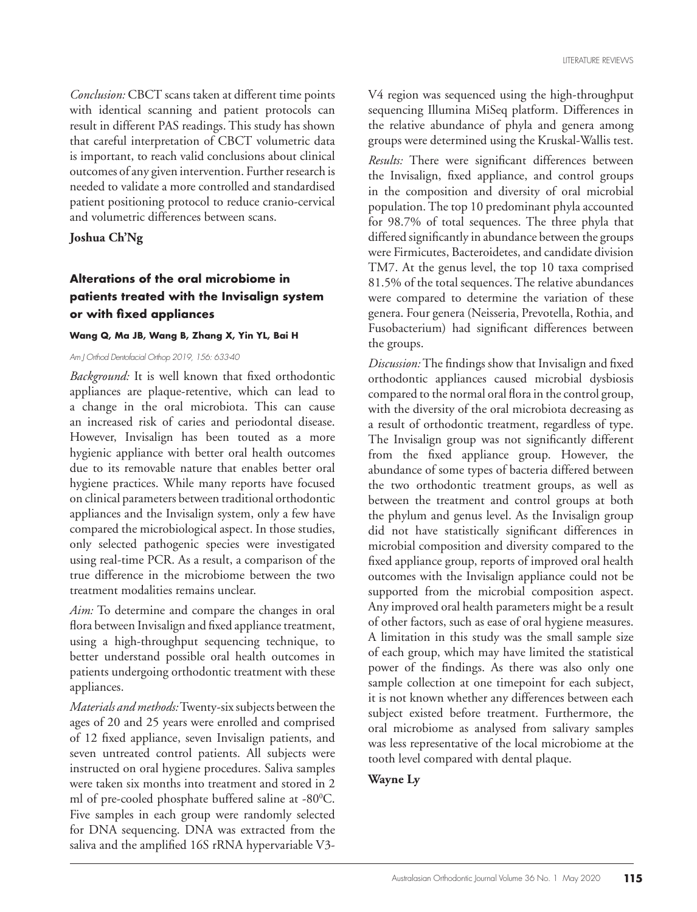*Conclusion:* CBCT scans taken at different time points with identical scanning and patient protocols can result in different PAS readings. This study has shown that careful interpretation of CBCT volumetric data is important, to reach valid conclusions about clinical outcomes of any given intervention. Further research is needed to validate a more controlled and standardised patient positioning protocol to reduce cranio-cervical and volumetric differences between scans.

**Joshua Ch'Ng**

### **Alterations of the oral microbiome in patients treated with the Invisalign system or with fixed appliances**

### **Wang Q, Ma JB, Wang B, Zhang X, Yin YL, Bai H**

*Am J Orthod Dentofacial Orthop 2019, 156: 633-40*

*Background:* It is well known that fixed orthodontic appliances are plaque-retentive, which can lead to a change in the oral microbiota. This can cause an increased risk of caries and periodontal disease. However, Invisalign has been touted as a more hygienic appliance with better oral health outcomes due to its removable nature that enables better oral hygiene practices. While many reports have focused on clinical parameters between traditional orthodontic appliances and the Invisalign system, only a few have compared the microbiological aspect. In those studies, only selected pathogenic species were investigated using real-time PCR. As a result, a comparison of the true difference in the microbiome between the two treatment modalities remains unclear.

*Aim:* To determine and compare the changes in oral flora between Invisalign and fixed appliance treatment, using a high-throughput sequencing technique, to better understand possible oral health outcomes in patients undergoing orthodontic treatment with these appliances.

*Materials and methods:* Twenty-six subjects between the ages of 20 and 25 years were enrolled and comprised of 12 fixed appliance, seven Invisalign patients, and seven untreated control patients. All subjects were instructed on oral hygiene procedures. Saliva samples were taken six months into treatment and stored in 2 ml of pre-cooled phosphate buffered saline at -80°C. Five samples in each group were randomly selected for DNA sequencing. DNA was extracted from the saliva and the amplified 16S rRNA hypervariable V3V4 region was sequenced using the high-throughput sequencing Illumina MiSeq platform. Differences in the relative abundance of phyla and genera among groups were determined using the Kruskal-Wallis test.

*Results:* There were significant differences between the Invisalign, fixed appliance, and control groups in the composition and diversity of oral microbial population. The top 10 predominant phyla accounted for 98.7% of total sequences. The three phyla that differed significantly in abundance between the groups were Firmicutes, Bacteroidetes, and candidate division TM7. At the genus level, the top 10 taxa comprised 81.5% of the total sequences. The relative abundances were compared to determine the variation of these genera. Four genera (Neisseria, Prevotella, Rothia, and Fusobacterium) had significant differences between the groups.

*Discussion:* The findings show that Invisalign and fixed orthodontic appliances caused microbial dysbiosis compared to the normal oral flora in the control group, with the diversity of the oral microbiota decreasing as a result of orthodontic treatment, regardless of type. The Invisalign group was not significantly different from the fixed appliance group. However, the abundance of some types of bacteria differed between the two orthodontic treatment groups, as well as between the treatment and control groups at both the phylum and genus level. As the Invisalign group did not have statistically significant differences in microbial composition and diversity compared to the fixed appliance group, reports of improved oral health outcomes with the Invisalign appliance could not be supported from the microbial composition aspect. Any improved oral health parameters might be a result of other factors, such as ease of oral hygiene measures. A limitation in this study was the small sample size of each group, which may have limited the statistical power of the findings. As there was also only one sample collection at one timepoint for each subject, it is not known whether any differences between each subject existed before treatment. Furthermore, the oral microbiome as analysed from salivary samples was less representative of the local microbiome at the tooth level compared with dental plaque.

### **Wayne Ly**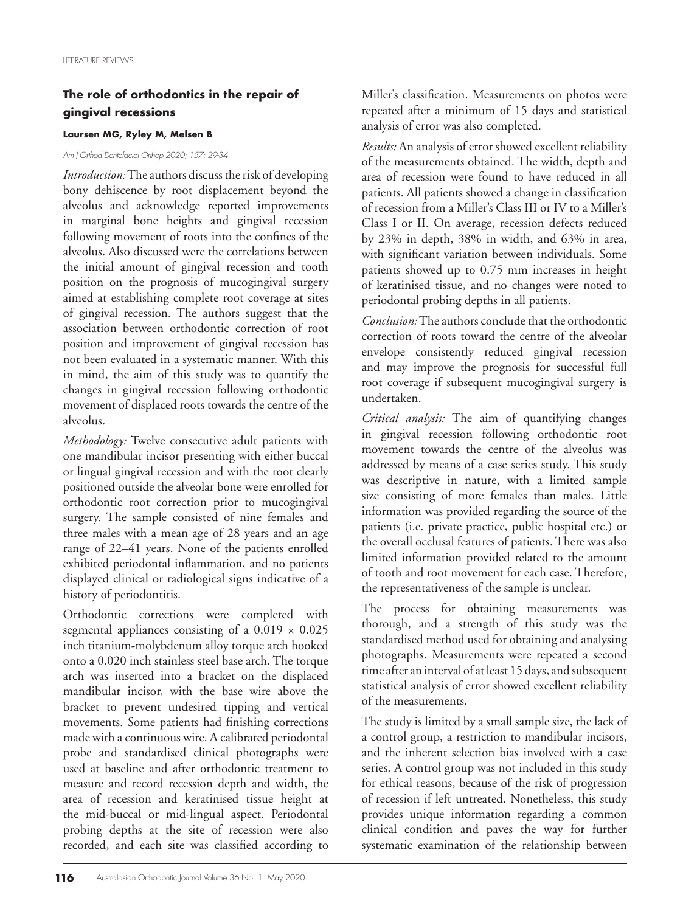### **The role of orthodontics in the repair of gingival recessions**

#### **Laursen MG, Ryley M, Melsen B**

### *Am J Orthod Dentofacial Orthop 2020; 157: 29-34*

*Introduction:* The authors discuss the risk of developing bony dehiscence by root displacement beyond the alveolus and acknowledge reported improvements in marginal bone heights and gingival recession following movement of roots into the confines of the alveolus. Also discussed were the correlations between the initial amount of gingival recession and tooth position on the prognosis of mucogingival surgery aimed at establishing complete root coverage at sites of gingival recession. The authors suggest that the association between orthodontic correction of root position and improvement of gingival recession has not been evaluated in a systematic manner. With this in mind, the aim of this study was to quantify the changes in gingival recession following orthodontic movement of displaced roots towards the centre of the alveolus.

*Methodology:* Twelve consecutive adult patients with one mandibular incisor presenting with either buccal or lingual gingival recession and with the root clearly positioned outside the alveolar bone were enrolled for orthodontic root correction prior to mucogingival surgery. The sample consisted of nine females and three males with a mean age of 28 years and an age range of 22–41 years. None of the patients enrolled exhibited periodontal inflammation, and no patients displayed clinical or radiological signs indicative of a history of periodontitis.

Orthodontic corrections were completed with segmental appliances consisting of a  $0.019 \times 0.025$ inch titanium-molybdenum alloy torque arch hooked onto a 0.020 inch stainless steel base arch. The torque arch was inserted into a bracket on the displaced mandibular incisor, with the base wire above the bracket to prevent undesired tipping and vertical movements. Some patients had finishing corrections made with a continuous wire. A calibrated periodontal probe and standardised clinical photographs were used at baseline and after orthodontic treatment to measure and record recession depth and width, the area of recession and keratinised tissue height at the mid-buccal or mid-lingual aspect. Periodontal probing depths at the site of recession were also recorded, and each site was classified according to Miller's classification. Measurements on photos were repeated after a minimum of 15 days and statistical analysis of error was also completed.

*Results:* An analysis of error showed excellent reliability of the measurements obtained. The width, depth and area of recession were found to have reduced in all patients. All patients showed a change in classification of recession from a Miller's Class III or IV to a Miller's Class I or II. On average, recession defects reduced by 23% in depth, 38% in width, and 63% in area, with significant variation between individuals. Some patients showed up to 0.75 mm increases in height of keratinised tissue, and no changes were noted to periodontal probing depths in all patients.

*Conclusion:* The authors conclude that the orthodontic correction of roots toward the centre of the alveolar envelope consistently reduced gingival recession and may improve the prognosis for successful full root coverage if subsequent mucogingival surgery is undertaken.

*Critical analysis:* The aim of quantifying changes in gingival recession following orthodontic root movement towards the centre of the alveolus was addressed by means of a case series study. This study was descriptive in nature, with a limited sample size consisting of more females than males. Little information was provided regarding the source of the patients (i.e. private practice, public hospital etc.) or the overall occlusal features of patients. There was also limited information provided related to the amount of tooth and root movement for each case. Therefore, the representativeness of the sample is unclear.

The process for obtaining measurements was thorough, and a strength of this study was the standardised method used for obtaining and analysing photographs. Measurements were repeated a second time after an interval of at least 15 days, and subsequent statistical analysis of error showed excellent reliability of the measurements.

The study is limited by a small sample size, the lack of a control group, a restriction to mandibular incisors, and the inherent selection bias involved with a case series. A control group was not included in this study for ethical reasons, because of the risk of progression of recession if left untreated. Nonetheless, this study provides unique information regarding a common clinical condition and paves the way for further systematic examination of the relationship between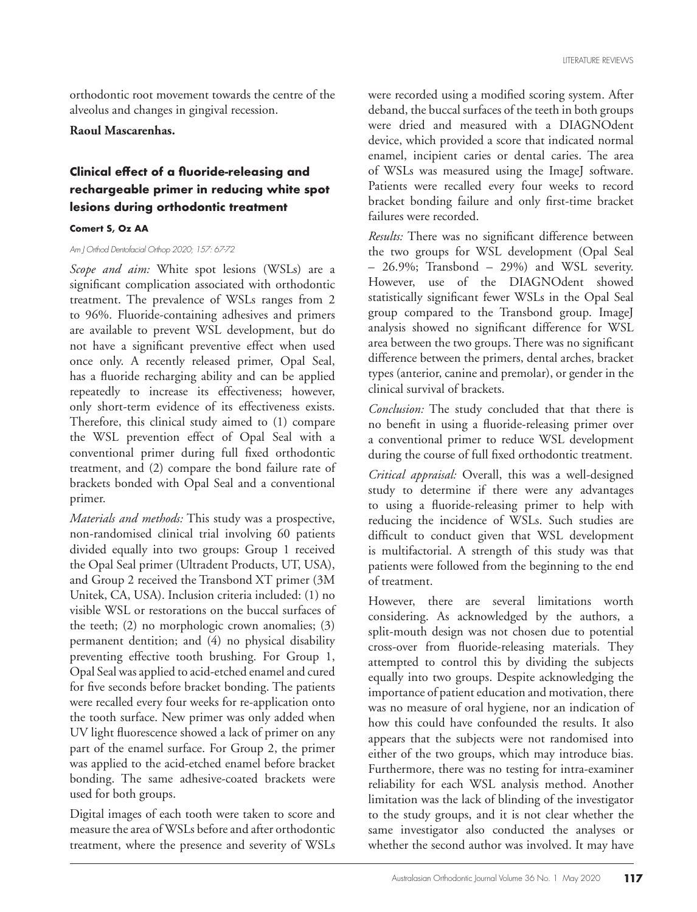orthodontic root movement towards the centre of the alveolus and changes in gingival recession.

#### **Raoul Mascarenhas.**

# **Clinical effect of a fluoride-releasing and rechargeable primer in reducing white spot lesions during orthodontic treatment**

### **Comert S, Oz AA**

### *Am J Orthod Dentofacial Orthop 2020; 157: 67-72*

*Scope and aim:* White spot lesions (WSLs) are a significant complication associated with orthodontic treatment. The prevalence of WSLs ranges from 2 to 96%. Fluoride-containing adhesives and primers are available to prevent WSL development, but do not have a significant preventive effect when used once only. A recently released primer, Opal Seal, has a fluoride recharging ability and can be applied repeatedly to increase its effectiveness; however, only short-term evidence of its effectiveness exists. Therefore, this clinical study aimed to (1) compare the WSL prevention effect of Opal Seal with a conventional primer during full fixed orthodontic treatment, and (2) compare the bond failure rate of brackets bonded with Opal Seal and a conventional primer.

*Materials and methods:* This study was a prospective, non-randomised clinical trial involving 60 patients divided equally into two groups: Group 1 received the Opal Seal primer (Ultradent Products, UT, USA), and Group 2 received the Transbond XT primer (3M Unitek, CA, USA). Inclusion criteria included: (1) no visible WSL or restorations on the buccal surfaces of the teeth; (2) no morphologic crown anomalies; (3) permanent dentition; and (4) no physical disability preventing effective tooth brushing. For Group 1, Opal Seal was applied to acid-etched enamel and cured for five seconds before bracket bonding. The patients were recalled every four weeks for re-application onto the tooth surface. New primer was only added when UV light fluorescence showed a lack of primer on any part of the enamel surface. For Group 2, the primer was applied to the acid-etched enamel before bracket bonding. The same adhesive-coated brackets were used for both groups.

Digital images of each tooth were taken to score and measure the area of WSLs before and after orthodontic treatment, where the presence and severity of WSLs

were recorded using a modified scoring system. After deband, the buccal surfaces of the teeth in both groups were dried and measured with a DIAGNOdent device, which provided a score that indicated normal enamel, incipient caries or dental caries. The area of WSLs was measured using the ImageJ software. Patients were recalled every four weeks to record bracket bonding failure and only first-time bracket failures were recorded.

*Results:* There was no significant difference between the two groups for WSL development (Opal Seal – 26.9%; Transbond – 29%) and WSL severity. However, use of the DIAGNOdent showed statistically significant fewer WSLs in the Opal Seal group compared to the Transbond group. ImageJ analysis showed no significant difference for WSL area between the two groups. There was no significant difference between the primers, dental arches, bracket types (anterior, canine and premolar), or gender in the clinical survival of brackets.

*Conclusion:* The study concluded that that there is no benefit in using a fluoride-releasing primer over a conventional primer to reduce WSL development during the course of full fixed orthodontic treatment.

*Critical appraisal:* Overall, this was a well-designed study to determine if there were any advantages to using a fluoride-releasing primer to help with reducing the incidence of WSLs. Such studies are difficult to conduct given that WSL development is multifactorial. A strength of this study was that patients were followed from the beginning to the end of treatment.

However, there are several limitations worth considering. As acknowledged by the authors, a split-mouth design was not chosen due to potential cross-over from fluoride-releasing materials. They attempted to control this by dividing the subjects equally into two groups. Despite acknowledging the importance of patient education and motivation, there was no measure of oral hygiene, nor an indication of how this could have confounded the results. It also appears that the subjects were not randomised into either of the two groups, which may introduce bias. Furthermore, there was no testing for intra-examiner reliability for each WSL analysis method. Another limitation was the lack of blinding of the investigator to the study groups, and it is not clear whether the same investigator also conducted the analyses or whether the second author was involved. It may have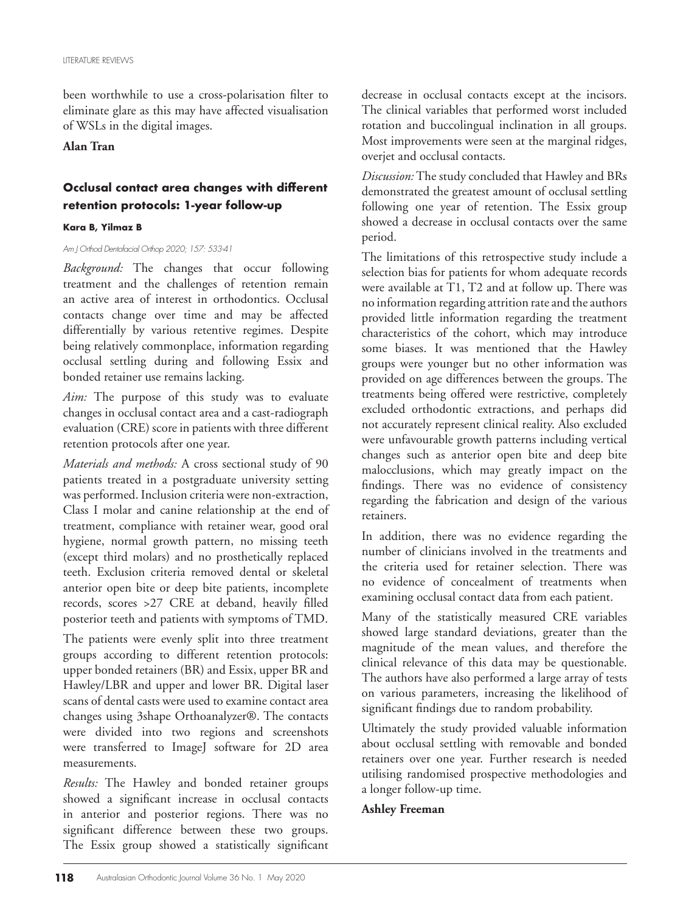been worthwhile to use a cross-polarisation filter to eliminate glare as this may have affected visualisation of WSLs in the digital images.

### **Alan Tran**

# **Occlusal contact area changes with different retention protocols: 1-year follow-up**

### **Kara B, Yilmaz B**

#### *Am J Orthod Dentofacial Orthop 2020; 157: 533-41*

*Background:* The changes that occur following treatment and the challenges of retention remain an active area of interest in orthodontics. Occlusal contacts change over time and may be affected differentially by various retentive regimes. Despite being relatively commonplace, information regarding occlusal settling during and following Essix and bonded retainer use remains lacking.

*Aim:* The purpose of this study was to evaluate changes in occlusal contact area and a cast-radiograph evaluation (CRE) score in patients with three different retention protocols after one year.

*Materials and methods:* A cross sectional study of 90 patients treated in a postgraduate university setting was performed. Inclusion criteria were non-extraction, Class I molar and canine relationship at the end of treatment, compliance with retainer wear, good oral hygiene, normal growth pattern, no missing teeth (except third molars) and no prosthetically replaced teeth. Exclusion criteria removed dental or skeletal anterior open bite or deep bite patients, incomplete records, scores >27 CRE at deband, heavily filled posterior teeth and patients with symptoms of TMD.

The patients were evenly split into three treatment groups according to different retention protocols: upper bonded retainers (BR) and Essix, upper BR and Hawley/LBR and upper and lower BR. Digital laser scans of dental casts were used to examine contact area changes using 3shape Orthoanalyzer®. The contacts were divided into two regions and screenshots were transferred to ImageJ software for 2D area measurements.

*Results:* The Hawley and bonded retainer groups showed a significant increase in occlusal contacts in anterior and posterior regions. There was no significant difference between these two groups. The Essix group showed a statistically significant

decrease in occlusal contacts except at the incisors. The clinical variables that performed worst included rotation and buccolingual inclination in all groups. Most improvements were seen at the marginal ridges, overjet and occlusal contacts.

*Discussion:* The study concluded that Hawley and BRs demonstrated the greatest amount of occlusal settling following one year of retention. The Essix group showed a decrease in occlusal contacts over the same period.

The limitations of this retrospective study include a selection bias for patients for whom adequate records were available at  $T1$ ,  $T2$  and at follow up. There was no information regarding attrition rate and the authors provided little information regarding the treatment characteristics of the cohort, which may introduce some biases. It was mentioned that the Hawley groups were younger but no other information was provided on age differences between the groups. The treatments being offered were restrictive, completely excluded orthodontic extractions, and perhaps did not accurately represent clinical reality. Also excluded were unfavourable growth patterns including vertical changes such as anterior open bite and deep bite malocclusions, which may greatly impact on the findings. There was no evidence of consistency regarding the fabrication and design of the various retainers.

In addition, there was no evidence regarding the number of clinicians involved in the treatments and the criteria used for retainer selection. There was no evidence of concealment of treatments when examining occlusal contact data from each patient.

Many of the statistically measured CRE variables showed large standard deviations, greater than the magnitude of the mean values, and therefore the clinical relevance of this data may be questionable. The authors have also performed a large array of tests on various parameters, increasing the likelihood of significant findings due to random probability.

Ultimately the study provided valuable information about occlusal settling with removable and bonded retainers over one year. Further research is needed utilising randomised prospective methodologies and a longer follow-up time.

### **Ashley Freeman**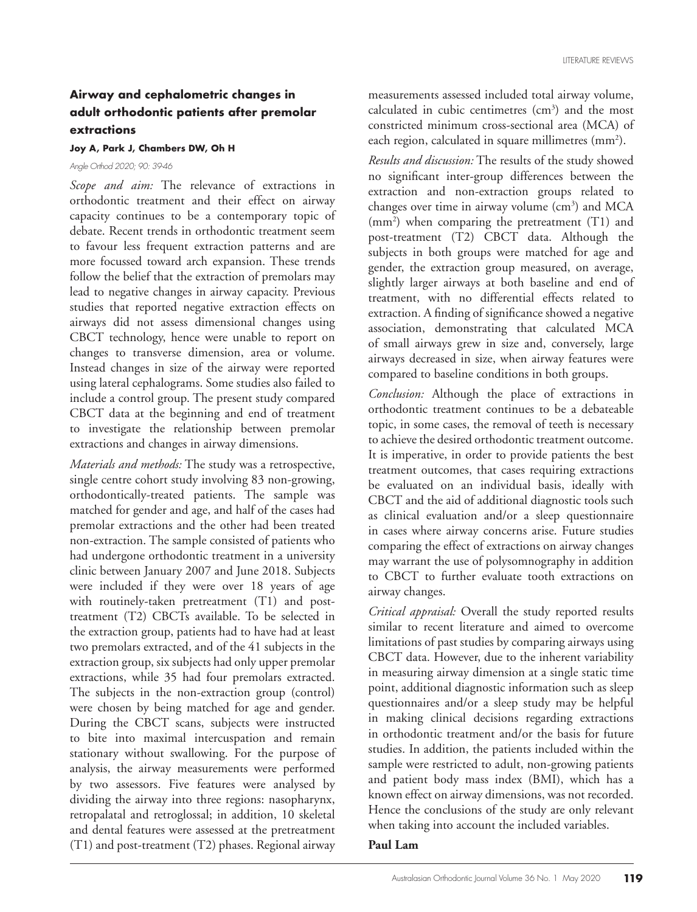### **Airway and cephalometric changes in adult orthodontic patients after premolar extractions**

#### **Joy A, Park J, Chambers DW, Oh H**

*Angle Orthod 2020; 90: 39-46* 

*Scope and aim:* The relevance of extractions in orthodontic treatment and their effect on airway capacity continues to be a contemporary topic of debate. Recent trends in orthodontic treatment seem to favour less frequent extraction patterns and are more focussed toward arch expansion. These trends follow the belief that the extraction of premolars may lead to negative changes in airway capacity. Previous studies that reported negative extraction effects on airways did not assess dimensional changes using CBCT technology, hence were unable to report on changes to transverse dimension, area or volume. Instead changes in size of the airway were reported using lateral cephalograms. Some studies also failed to include a control group. The present study compared CBCT data at the beginning and end of treatment to investigate the relationship between premolar extractions and changes in airway dimensions.

*Materials and methods:* The study was a retrospective, single centre cohort study involving 83 non-growing, orthodontically-treated patients. The sample was matched for gender and age, and half of the cases had premolar extractions and the other had been treated non-extraction. The sample consisted of patients who had undergone orthodontic treatment in a university clinic between January 2007 and June 2018. Subjects were included if they were over 18 years of age with routinely-taken pretreatment (T1) and posttreatment (T2) CBCTs available. To be selected in the extraction group, patients had to have had at least two premolars extracted, and of the 41 subjects in the extraction group, six subjects had only upper premolar extractions, while 35 had four premolars extracted. The subjects in the non-extraction group (control) were chosen by being matched for age and gender. During the CBCT scans, subjects were instructed to bite into maximal intercuspation and remain stationary without swallowing. For the purpose of analysis, the airway measurements were performed by two assessors. Five features were analysed by dividing the airway into three regions: nasopharynx, retropalatal and retroglossal; in addition, 10 skeletal and dental features were assessed at the pretreatment (T1) and post-treatment (T2) phases. Regional airway

measurements assessed included total airway volume, calculated in cubic centimetres  $(cm<sup>3</sup>)$  and the most constricted minimum cross-sectional area (MCA) of each region, calculated in square millimetres (mm<sup>2</sup>).

*Results and discussion:* The results of the study showed no significant inter-group differences between the extraction and non-extraction groups related to changes over time in airway volume (cm<sup>3</sup>) and MCA (mm2 ) when comparing the pretreatment (T1) and post-treatment (T2) CBCT data. Although the subjects in both groups were matched for age and gender, the extraction group measured, on average, slightly larger airways at both baseline and end of treatment, with no differential effects related to extraction. A finding of significance showed a negative association, demonstrating that calculated MCA of small airways grew in size and, conversely, large airways decreased in size, when airway features were compared to baseline conditions in both groups.

*Conclusion:* Although the place of extractions in orthodontic treatment continues to be a debateable topic, in some cases, the removal of teeth is necessary to achieve the desired orthodontic treatment outcome. It is imperative, in order to provide patients the best treatment outcomes, that cases requiring extractions be evaluated on an individual basis, ideally with CBCT and the aid of additional diagnostic tools such as clinical evaluation and/or a sleep questionnaire in cases where airway concerns arise. Future studies comparing the effect of extractions on airway changes may warrant the use of polysomnography in addition to CBCT to further evaluate tooth extractions on airway changes.

*Critical appraisal:* Overall the study reported results similar to recent literature and aimed to overcome limitations of past studies by comparing airways using CBCT data. However, due to the inherent variability in measuring airway dimension at a single static time point, additional diagnostic information such as sleep questionnaires and/or a sleep study may be helpful in making clinical decisions regarding extractions in orthodontic treatment and/or the basis for future studies. In addition, the patients included within the sample were restricted to adult, non-growing patients and patient body mass index (BMI), which has a known effect on airway dimensions, was not recorded. Hence the conclusions of the study are only relevant when taking into account the included variables.

**Paul Lam**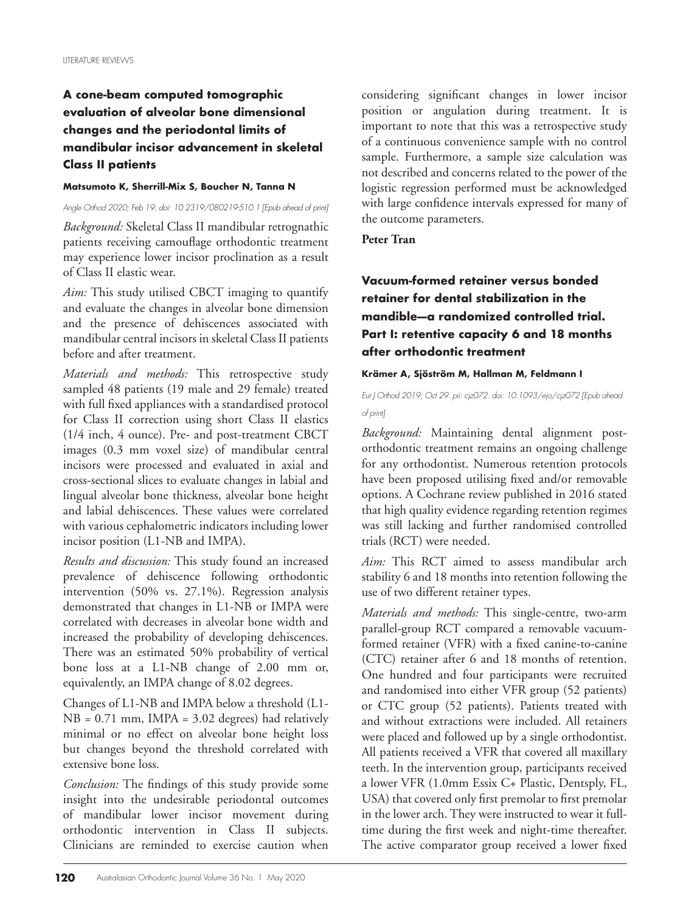# **A cone-beam computed tomographic evaluation of alveolar bone dimensional changes and the periodontal limits of mandibular incisor advancement in skeletal Class II patients**

### **Matsumoto K, Sherrill-Mix S, Boucher N, Tanna N**

*Angle Orthod 2020; Feb 19. doi: 10.2319/080219-510.1 [Epub ahead of print]*

*Background:* Skeletal Class II mandibular retrognathic patients receiving camouflage orthodontic treatment may experience lower incisor proclination as a result of Class II elastic wear.

*Aim:* This study utilised CBCT imaging to quantify and evaluate the changes in alveolar bone dimension and the presence of dehiscences associated with mandibular central incisors in skeletal Class II patients before and after treatment.

*Materials and methods:* This retrospective study sampled 48 patients (19 male and 29 female) treated with full fixed appliances with a standardised protocol for Class II correction using short Class II elastics (1/4 inch, 4 ounce). Pre- and post-treatment CBCT images (0.3 mm voxel size) of mandibular central incisors were processed and evaluated in axial and cross-sectional slices to evaluate changes in labial and lingual alveolar bone thickness, alveolar bone height and labial dehiscences. These values were correlated with various cephalometric indicators including lower incisor position (L1-NB and IMPA).

*Results and discussion:* This study found an increased prevalence of dehiscence following orthodontic intervention (50% vs. 27.1%). Regression analysis demonstrated that changes in L1-NB or IMPA were correlated with decreases in alveolar bone width and increased the probability of developing dehiscences. There was an estimated 50% probability of vertical bone loss at a L1-NB change of 2.00 mm or, equivalently, an IMPA change of 8.02 degrees.

Changes of L1-NB and IMPA below a threshold (L1- NB = 0.71 mm, IMPA = 3.02 degrees) had relatively minimal or no effect on alveolar bone height loss but changes beyond the threshold correlated with extensive bone loss.

*Conclusion:* The findings of this study provide some insight into the undesirable periodontal outcomes of mandibular lower incisor movement during orthodontic intervention in Class II subjects. Clinicians are reminded to exercise caution when

considering significant changes in lower incisor position or angulation during treatment. It is important to note that this was a retrospective study of a continuous convenience sample with no control sample. Furthermore, a sample size calculation was not described and concerns related to the power of the logistic regression performed must be acknowledged with large confidence intervals expressed for many of the outcome parameters.

**Peter Tran**

# **Vacuum-formed retainer versus bonded retainer for dental stabilization in the mandible—a randomized controlled trial. Part I: retentive capacity 6 and 18 months after orthodontic treatment**

### **Krämer A, Sjöström M, Hallman M, Feldmann I**

### *Eur J Orthod 2019; Oct 29. pii: cjz072. doi: 10.1093/ejo/cjz072 [Epub ahead of print]*

*Background:* Maintaining dental alignment postorthodontic treatment remains an ongoing challenge for any orthodontist. Numerous retention protocols have been proposed utilising fixed and/or removable options. A Cochrane review published in 2016 stated that high quality evidence regarding retention regimes was still lacking and further randomised controlled trials (RCT) were needed.

*Aim:* This RCT aimed to assess mandibular arch stability 6 and 18 months into retention following the use of two different retainer types.

*Materials and methods:* This single-centre, two-arm parallel-group RCT compared a removable vacuumformed retainer (VFR) with a fixed canine-to-canine (CTC) retainer after 6 and 18 months of retention. One hundred and four participants were recruited and randomised into either VFR group (52 patients) or CTC group (52 patients). Patients treated with and without extractions were included. All retainers were placed and followed up by a single orthodontist. All patients received a VFR that covered all maxillary teeth. In the intervention group, participants received a lower VFR (1.0mm Essix C+ Plastic, Dentsply, FL, USA) that covered only first premolar to first premolar in the lower arch. They were instructed to wear it fulltime during the first week and night-time thereafter. The active comparator group received a lower fixed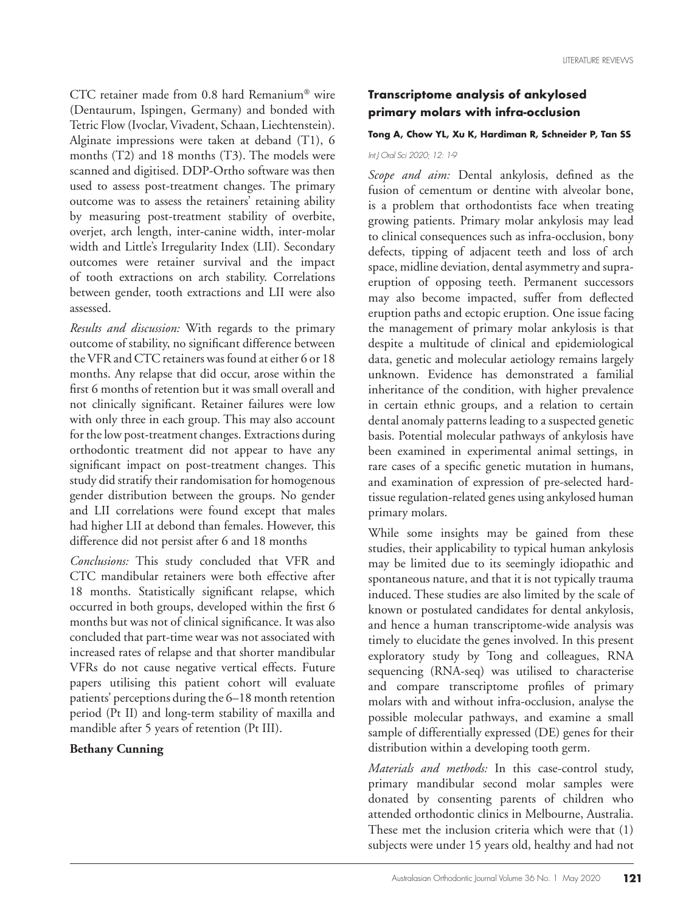CTC retainer made from  $0.8$  hard Remanium® wire (Dentaurum, Ispingen, Germany) and bonded with Tetric Flow (Ivoclar, Vivadent, Schaan, Liechtenstein). Alginate impressions were taken at deband (T1), 6 months (T2) and 18 months (T3). The models were scanned and digitised. DDP-Ortho software was then used to assess post-treatment changes. The primary outcome was to assess the retainers' retaining ability by measuring post-treatment stability of overbite, overjet, arch length, inter-canine width, inter-molar width and Little's Irregularity Index (LII). Secondary outcomes were retainer survival and the impact of tooth extractions on arch stability. Correlations between gender, tooth extractions and LII were also assessed.

*Results and discussion:* With regards to the primary outcome of stability, no significant difference between the VFR and CTC retainers was found at either 6 or 18 months. Any relapse that did occur, arose within the first 6 months of retention but it was small overall and not clinically significant. Retainer failures were low with only three in each group. This may also account for the low post-treatment changes. Extractions during orthodontic treatment did not appear to have any significant impact on post-treatment changes. This study did stratify their randomisation for homogenous gender distribution between the groups. No gender and LII correlations were found except that males had higher LII at debond than females. However, this difference did not persist after 6 and 18 months

*Conclusions:* This study concluded that VFR and CTC mandibular retainers were both effective after 18 months. Statistically significant relapse, which occurred in both groups, developed within the first 6 months but was not of clinical significance. It was also concluded that part-time wear was not associated with increased rates of relapse and that shorter mandibular VFRs do not cause negative vertical effects. Future papers utilising this patient cohort will evaluate patients' perceptions during the 6–18 month retention period (Pt II) and long-term stability of maxilla and mandible after 5 years of retention (Pt III).

### **Bethany Cunning**

### **Transcriptome analysis of ankylosed primary molars with infra-occlusion**

### **Tong A, Chow YL, Xu K, Hardiman R, Schneider P, Tan SS**

#### *Int J Oral Sci 2020; 12: 1-9*

*Scope and aim:* Dental ankylosis, defined as the fusion of cementum or dentine with alveolar bone, is a problem that orthodontists face when treating growing patients. Primary molar ankylosis may lead to clinical consequences such as infra-occlusion, bony defects, tipping of adjacent teeth and loss of arch space, midline deviation, dental asymmetry and supraeruption of opposing teeth. Permanent successors may also become impacted, suffer from deflected eruption paths and ectopic eruption. One issue facing the management of primary molar ankylosis is that despite a multitude of clinical and epidemiological data, genetic and molecular aetiology remains largely unknown. Evidence has demonstrated a familial inheritance of the condition, with higher prevalence in certain ethnic groups, and a relation to certain dental anomaly patterns leading to a suspected genetic basis. Potential molecular pathways of ankylosis have been examined in experimental animal settings, in rare cases of a specific genetic mutation in humans, and examination of expression of pre-selected hardtissue regulation-related genes using ankylosed human primary molars.

While some insights may be gained from these studies, their applicability to typical human ankylosis may be limited due to its seemingly idiopathic and spontaneous nature, and that it is not typically trauma induced. These studies are also limited by the scale of known or postulated candidates for dental ankylosis, and hence a human transcriptome-wide analysis was timely to elucidate the genes involved. In this present exploratory study by Tong and colleagues, RNA sequencing (RNA-seq) was utilised to characterise and compare transcriptome profiles of primary molars with and without infra-occlusion, analyse the possible molecular pathways, and examine a small sample of differentially expressed (DE) genes for their distribution within a developing tooth germ.

*Materials and methods:* In this case-control study, primary mandibular second molar samples were donated by consenting parents of children who attended orthodontic clinics in Melbourne, Australia. These met the inclusion criteria which were that (1) subjects were under 15 years old, healthy and had not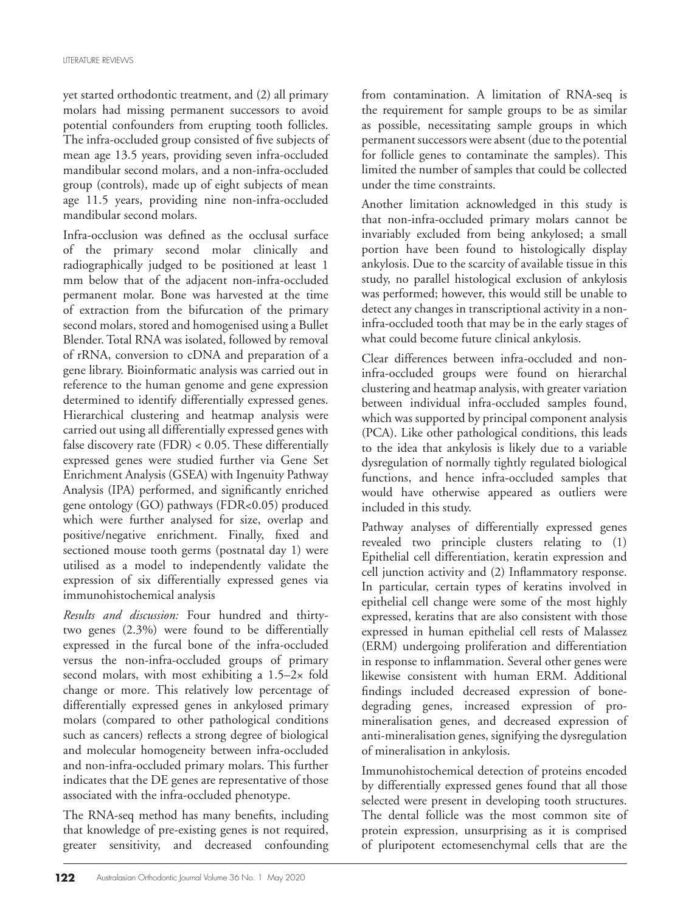yet started orthodontic treatment, and (2) all primary molars had missing permanent successors to avoid potential confounders from erupting tooth follicles. The infra-occluded group consisted of five subjects of mean age 13.5 years, providing seven infra-occluded mandibular second molars, and a non-infra-occluded group (controls), made up of eight subjects of mean age 11.5 years, providing nine non-infra-occluded mandibular second molars.

Infra-occlusion was defined as the occlusal surface of the primary second molar clinically and radiographically judged to be positioned at least 1 mm below that of the adjacent non-infra-occluded permanent molar. Bone was harvested at the time of extraction from the bifurcation of the primary second molars, stored and homogenised using a Bullet Blender. Total RNA was isolated, followed by removal of rRNA, conversion to cDNA and preparation of a gene library. Bioinformatic analysis was carried out in reference to the human genome and gene expression determined to identify differentially expressed genes. Hierarchical clustering and heatmap analysis were carried out using all differentially expressed genes with false discovery rate (FDR) < 0.05. These differentially expressed genes were studied further via Gene Set Enrichment Analysis (GSEA) with Ingenuity Pathway Analysis (IPA) performed, and significantly enriched gene ontology (GO) pathways (FDR<0.05) produced which were further analysed for size, overlap and positive/negative enrichment. Finally, fixed and sectioned mouse tooth germs (postnatal day 1) were utilised as a model to independently validate the expression of six differentially expressed genes via immunohistochemical analysis

*Results and discussion:* Four hundred and thirtytwo genes (2.3%) were found to be differentially expressed in the furcal bone of the infra-occluded versus the non-infra-occluded groups of primary second molars, with most exhibiting a 1.5–2× fold change or more. This relatively low percentage of differentially expressed genes in ankylosed primary molars (compared to other pathological conditions such as cancers) reflects a strong degree of biological and molecular homogeneity between infra-occluded and non-infra-occluded primary molars. This further indicates that the DE genes are representative of those associated with the infra-occluded phenotype.

The RNA-seq method has many benefits, including that knowledge of pre-existing genes is not required, greater sensitivity, and decreased confounding from contamination. A limitation of RNA-seq is the requirement for sample groups to be as similar as possible, necessitating sample groups in which permanent successors were absent (due to the potential for follicle genes to contaminate the samples). This limited the number of samples that could be collected under the time constraints.

Another limitation acknowledged in this study is that non-infra-occluded primary molars cannot be invariably excluded from being ankylosed; a small portion have been found to histologically display ankylosis. Due to the scarcity of available tissue in this study, no parallel histological exclusion of ankylosis was performed; however, this would still be unable to detect any changes in transcriptional activity in a noninfra-occluded tooth that may be in the early stages of what could become future clinical ankylosis.

Clear differences between infra-occluded and noninfra-occluded groups were found on hierarchal clustering and heatmap analysis, with greater variation between individual infra-occluded samples found, which was supported by principal component analysis (PCA). Like other pathological conditions, this leads to the idea that ankylosis is likely due to a variable dysregulation of normally tightly regulated biological functions, and hence infra-occluded samples that would have otherwise appeared as outliers were included in this study.

Pathway analyses of differentially expressed genes revealed two principle clusters relating to (1) Epithelial cell differentiation, keratin expression and cell junction activity and (2) Inflammatory response. In particular, certain types of keratins involved in epithelial cell change were some of the most highly expressed, keratins that are also consistent with those expressed in human epithelial cell rests of Malassez (ERM) undergoing proliferation and differentiation in response to inflammation. Several other genes were likewise consistent with human ERM. Additional findings included decreased expression of bonedegrading genes, increased expression of promineralisation genes, and decreased expression of anti-mineralisation genes, signifying the dysregulation of mineralisation in ankylosis.

Immunohistochemical detection of proteins encoded by differentially expressed genes found that all those selected were present in developing tooth structures. The dental follicle was the most common site of protein expression, unsurprising as it is comprised of pluripotent ectomesenchymal cells that are the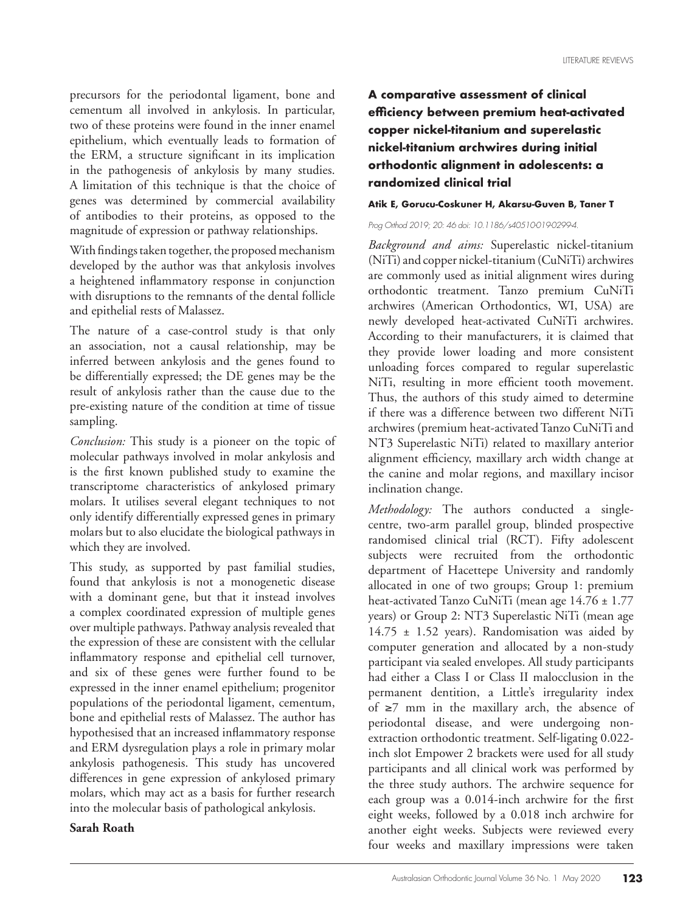precursors for the periodontal ligament, bone and cementum all involved in ankylosis. In particular, two of these proteins were found in the inner enamel epithelium, which eventually leads to formation of the ERM, a structure significant in its implication in the pathogenesis of ankylosis by many studies. A limitation of this technique is that the choice of genes was determined by commercial availability of antibodies to their proteins, as opposed to the magnitude of expression or pathway relationships.

With findings taken together, the proposed mechanism developed by the author was that ankylosis involves a heightened inflammatory response in conjunction with disruptions to the remnants of the dental follicle and epithelial rests of Malassez.

The nature of a case-control study is that only an association, not a causal relationship, may be inferred between ankylosis and the genes found to be differentially expressed; the DE genes may be the result of ankylosis rather than the cause due to the pre-existing nature of the condition at time of tissue sampling.

*Conclusion:* This study is a pioneer on the topic of molecular pathways involved in molar ankylosis and is the first known published study to examine the transcriptome characteristics of ankylosed primary molars. It utilises several elegant techniques to not only identify differentially expressed genes in primary molars but to also elucidate the biological pathways in which they are involved.

This study, as supported by past familial studies, found that ankylosis is not a monogenetic disease with a dominant gene, but that it instead involves a complex coordinated expression of multiple genes over multiple pathways. Pathway analysis revealed that the expression of these are consistent with the cellular inflammatory response and epithelial cell turnover, and six of these genes were further found to be expressed in the inner enamel epithelium; progenitor populations of the periodontal ligament, cementum, bone and epithelial rests of Malassez. The author has hypothesised that an increased inflammatory response and ERM dysregulation plays a role in primary molar ankylosis pathogenesis. This study has uncovered differences in gene expression of ankylosed primary molars, which may act as a basis for further research into the molecular basis of pathological ankylosis.

### **Sarah Roath**

# **A comparative assessment of clinical efficiency between premium heat-activated copper nickel-titanium and superelastic nickel-titanium archwires during initial orthodontic alignment in adolescents: a randomized clinical trial**

### **Atik E, Gorucu-Coskuner H, Akarsu-Guven B, Taner T**

#### *Prog Orthod 2019; 20: 46 doi: 10.1186/s40510-019-0299-4.*

*Background and aims:* Superelastic nickel-titanium (NiTi) and copper nickel-titanium (CuNiTi) archwires are commonly used as initial alignment wires during orthodontic treatment. Tanzo premium CuNiTi archwires (American Orthodontics, WI, USA) are newly developed heat-activated CuNiTi archwires. According to their manufacturers, it is claimed that they provide lower loading and more consistent unloading forces compared to regular superelastic NiTi, resulting in more efficient tooth movement. Thus, the authors of this study aimed to determine if there was a difference between two different NiTi archwires (premium heat-activated Tanzo CuNiTi and NT3 Superelastic NiTi) related to maxillary anterior alignment efficiency, maxillary arch width change at the canine and molar regions, and maxillary incisor inclination change.

*Methodology:* The authors conducted a singlecentre, two-arm parallel group, blinded prospective randomised clinical trial (RCT). Fifty adolescent subjects were recruited from the orthodontic department of Hacettepe University and randomly allocated in one of two groups; Group 1: premium heat-activated Tanzo CuNiTi (mean age 14.76 ± 1.77 years) or Group 2: NT3 Superelastic NiTi (mean age  $14.75 \pm 1.52$  years). Randomisation was aided by computer generation and allocated by a non-study participant via sealed envelopes. All study participants had either a Class I or Class II malocclusion in the permanent dentition, a Little's irregularity index of  $\geq$ 7 mm in the maxillary arch, the absence of periodontal disease, and were undergoing nonextraction orthodontic treatment. Self-ligating 0.022 inch slot Empower 2 brackets were used for all study participants and all clinical work was performed by the three study authors. The archwire sequence for each group was a 0.014-inch archwire for the first eight weeks, followed by a 0.018 inch archwire for another eight weeks. Subjects were reviewed every four weeks and maxillary impressions were taken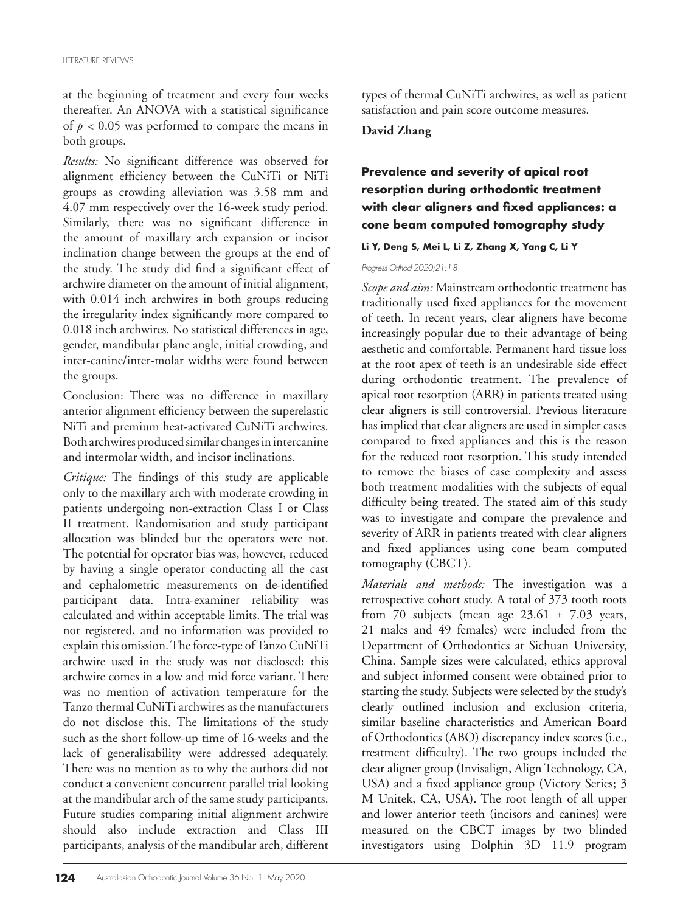at the beginning of treatment and every four weeks thereafter. An ANOVA with a statistical significance of  $p < 0.05$  was performed to compare the means in both groups.

*Results:* No significant difference was observed for alignment efficiency between the CuNiTi or NiTi groups as crowding alleviation was 3.58 mm and 4.07 mm respectively over the 16-week study period. Similarly, there was no significant difference in the amount of maxillary arch expansion or incisor inclination change between the groups at the end of the study. The study did find a significant effect of archwire diameter on the amount of initial alignment, with 0.014 inch archwires in both groups reducing the irregularity index significantly more compared to 0.018 inch archwires. No statistical differences in age, gender, mandibular plane angle, initial crowding, and inter-canine/inter-molar widths were found between the groups.

Conclusion: There was no difference in maxillary anterior alignment efficiency between the superelastic NiTi and premium heat-activated CuNiTi archwires. Both archwires produced similar changes in intercanine and intermolar width, and incisor inclinations.

*Critique:* The findings of this study are applicable only to the maxillary arch with moderate crowding in patients undergoing non-extraction Class I or Class II treatment. Randomisation and study participant allocation was blinded but the operators were not. The potential for operator bias was, however, reduced by having a single operator conducting all the cast and cephalometric measurements on de-identified participant data. Intra-examiner reliability was calculated and within acceptable limits. The trial was not registered, and no information was provided to explain this omission. The force-type of Tanzo CuNiTi archwire used in the study was not disclosed; this archwire comes in a low and mid force variant. There was no mention of activation temperature for the Tanzo thermal CuNiTi archwires as the manufacturers do not disclose this. The limitations of the study such as the short follow-up time of 16-weeks and the lack of generalisability were addressed adequately. There was no mention as to why the authors did not conduct a convenient concurrent parallel trial looking at the mandibular arch of the same study participants. Future studies comparing initial alignment archwire should also include extraction and Class III participants, analysis of the mandibular arch, different types of thermal CuNiTi archwires, as well as patient satisfaction and pain score outcome measures.

### **David Zhang**

# **Prevalence and severity of apical root resorption during orthodontic treatment with clear aligners and fixed appliances: a cone beam computed tomography study**

### **Li Y, Deng S, Mei L, Li Z, Zhang X, Yang C, Li Y**

### *Progress Orthod 2020;21:1-8*

*Scope and aim:* Mainstream orthodontic treatment has traditionally used fixed appliances for the movement of teeth. In recent years, clear aligners have become increasingly popular due to their advantage of being aesthetic and comfortable. Permanent hard tissue loss at the root apex of teeth is an undesirable side effect during orthodontic treatment. The prevalence of apical root resorption (ARR) in patients treated using clear aligners is still controversial. Previous literature has implied that clear aligners are used in simpler cases compared to fixed appliances and this is the reason for the reduced root resorption. This study intended to remove the biases of case complexity and assess both treatment modalities with the subjects of equal difficulty being treated. The stated aim of this study was to investigate and compare the prevalence and severity of ARR in patients treated with clear aligners and fixed appliances using cone beam computed tomography (CBCT).

*Materials and methods:* The investigation was a retrospective cohort study. A total of 373 tooth roots from 70 subjects (mean age  $23.61 \pm 7.03$  years, 21 males and 49 females) were included from the Department of Orthodontics at Sichuan University, China. Sample sizes were calculated, ethics approval and subject informed consent were obtained prior to starting the study. Subjects were selected by the study's clearly outlined inclusion and exclusion criteria, similar baseline characteristics and American Board of Orthodontics (ABO) discrepancy index scores (i.e., treatment difficulty). The two groups included the clear aligner group (Invisalign, Align Technology, CA, USA) and a fixed appliance group (Victory Series; 3 M Unitek, CA, USA). The root length of all upper and lower anterior teeth (incisors and canines) were measured on the CBCT images by two blinded investigators using Dolphin 3D 11.9 program